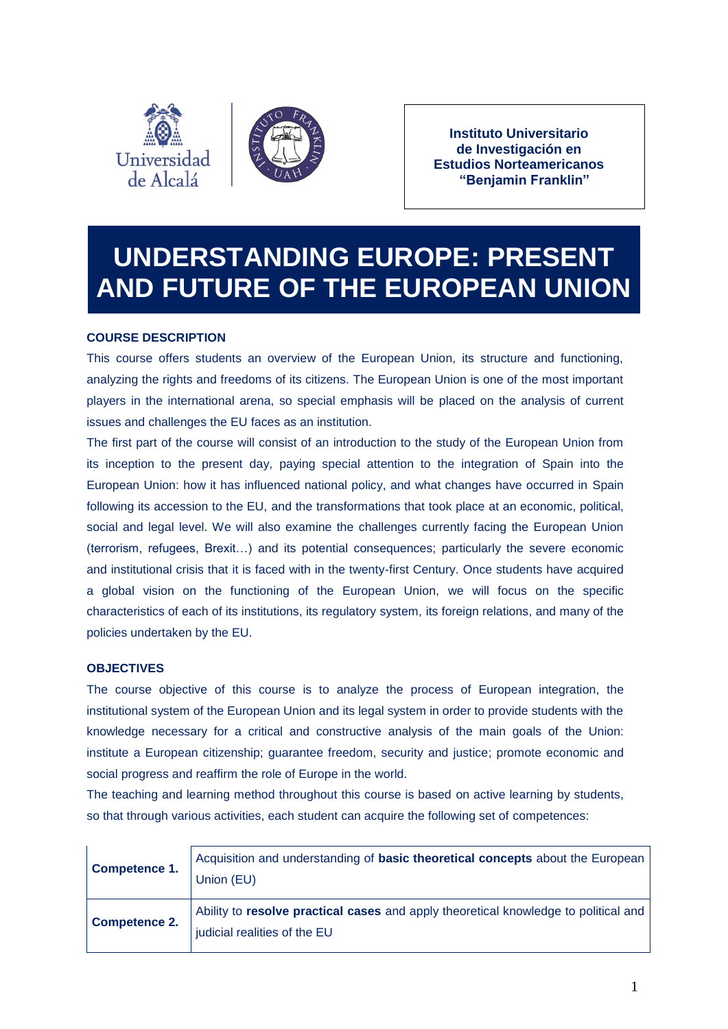



**Instituto Universitario de Investigación en Estudios Norteamericanos "Benjamin Franklin"**

# **UNDERSTANDING EUROPE: PRESENT AND FUTURE OF THE EUROPEAN UNION**

# **COURSE DESCRIPTION**

This course offers students an overview of the European Union, its structure and functioning, analyzing the rights and freedoms of its citizens. The European Union is one of the most important players in the international arena, so special emphasis will be placed on the analysis of current issues and challenges the EU faces as an institution.

The first part of the course will consist of an introduction to the study of the European Union from its inception to the present day, paying special attention to the integration of Spain into the European Union: how it has influenced national policy, and what changes have occurred in Spain following its accession to the EU, and the transformations that took place at an economic, political, social and legal level. We will also examine the challenges currently facing the European Union (terrorism, refugees, Brexit…) and its potential consequences; particularly the severe economic and institutional crisis that it is faced with in the twenty-first Century. Once students have acquired a global vision on the functioning of the European Union, we will focus on the specific characteristics of each of its institutions, its regulatory system, its foreign relations, and many of the policies undertaken by the EU.

# **OBJECTIVES**

The course objective of this course is to analyze the process of European integration, the institutional system of the European Union and its legal system in order to provide students with the knowledge necessary for a critical and constructive analysis of the main goals of the Union: institute a European citizenship; guarantee freedom, security and justice; promote economic and social progress and reaffirm the role of Europe in the world.

The teaching and learning method throughout this course is based on active learning by students, so that through various activities, each student can acquire the following set of competences:

| <b>Competence 1.</b> | Acquisition and understanding of basic theoretical concepts about the European<br>Union (EU)                        |
|----------------------|---------------------------------------------------------------------------------------------------------------------|
| Competence 2.        | Ability to resolve practical cases and apply theoretical knowledge to political and<br>judicial realities of the EU |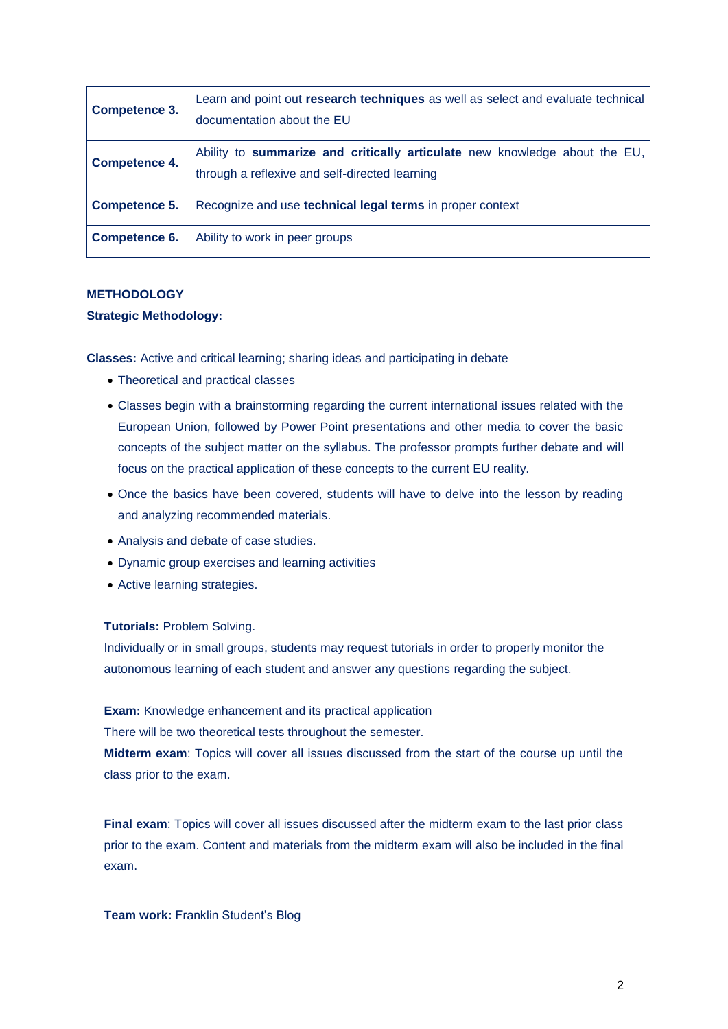| <b>Competence 3.</b> | Learn and point out research techniques as well as select and evaluate technical<br>documentation about the EU               |
|----------------------|------------------------------------------------------------------------------------------------------------------------------|
| <b>Competence 4.</b> | Ability to summarize and critically articulate new knowledge about the EU,<br>through a reflexive and self-directed learning |
| Competence 5.        | Recognize and use <b>technical legal terms</b> in proper context                                                             |
| Competence 6.        | Ability to work in peer groups                                                                                               |

# **METHODOLOGY**

# **Strategic Methodology:**

**Classes:** Active and critical learning; sharing ideas and participating in debate

- Theoretical and practical classes
- Classes begin with a brainstorming regarding the current international issues related with the European Union, followed by Power Point presentations and other media to cover the basic concepts of the subject matter on the syllabus. The professor prompts further debate and will focus on the practical application of these concepts to the current EU reality.
- Once the basics have been covered, students will have to delve into the lesson by reading and analyzing recommended materials.
- Analysis and debate of case studies.
- Dynamic group exercises and learning activities
- Active learning strategies.

#### **Tutorials:** Problem Solving.

Individually or in small groups, students may request tutorials in order to properly monitor the autonomous learning of each student and answer any questions regarding the subject.

**Exam:** Knowledge enhancement and its practical application

There will be two theoretical tests throughout the semester.

**Midterm exam**: Topics will cover all issues discussed from the start of the course up until the class prior to the exam.

**Final exam**: Topics will cover all issues discussed after the midterm exam to the last prior class prior to the exam. Content and materials from the midterm exam will also be included in the final exam.

### **Team work:** Franklin Student's Blog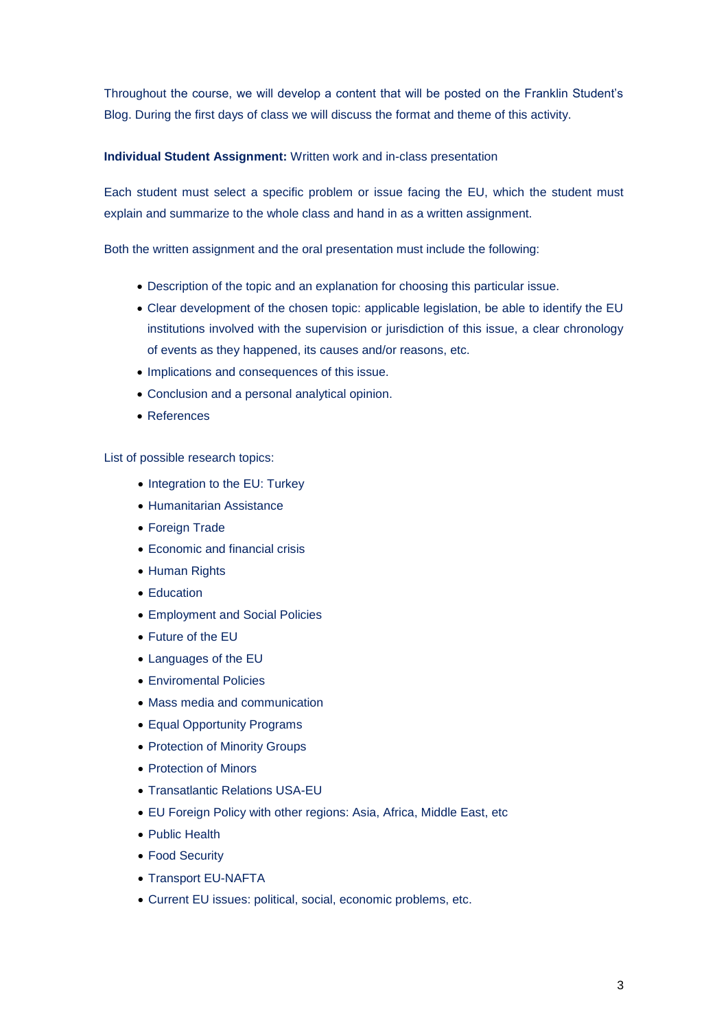Throughout the course, we will develop a content that will be posted on the Franklin Student's Blog. During the first days of class we will discuss the format and theme of this activity.

# **Individual Student Assignment:** Written work and in-class presentation

Each student must select a specific problem or issue facing the EU, which the student must explain and summarize to the whole class and hand in as a written assignment.

Both the written assignment and the oral presentation must include the following:

- Description of the topic and an explanation for choosing this particular issue.
- Clear development of the chosen topic: applicable legislation, be able to identify the EU institutions involved with the supervision or jurisdiction of this issue, a clear chronology of events as they happened, its causes and/or reasons, etc.
- Implications and consequences of this issue.
- Conclusion and a personal analytical opinion.
- References

List of possible research topics:

- Integration to the EU: Turkey
- Humanitarian Assistance
- Foreign Trade
- Economic and financial crisis
- Human Rights
- Education
- Employment and Social Policies
- Future of the EU
- Languages of the EU
- Enviromental Policies
- Mass media and communication
- Equal Opportunity Programs
- Protection of Minority Groups
- Protection of Minors
- Transatlantic Relations USA-EU
- EU Foreign Policy with other regions: Asia, Africa, Middle East, etc
- Public Health
- Food Security
- Transport EU-NAFTA
- Current EU issues: political, social, economic problems, etc.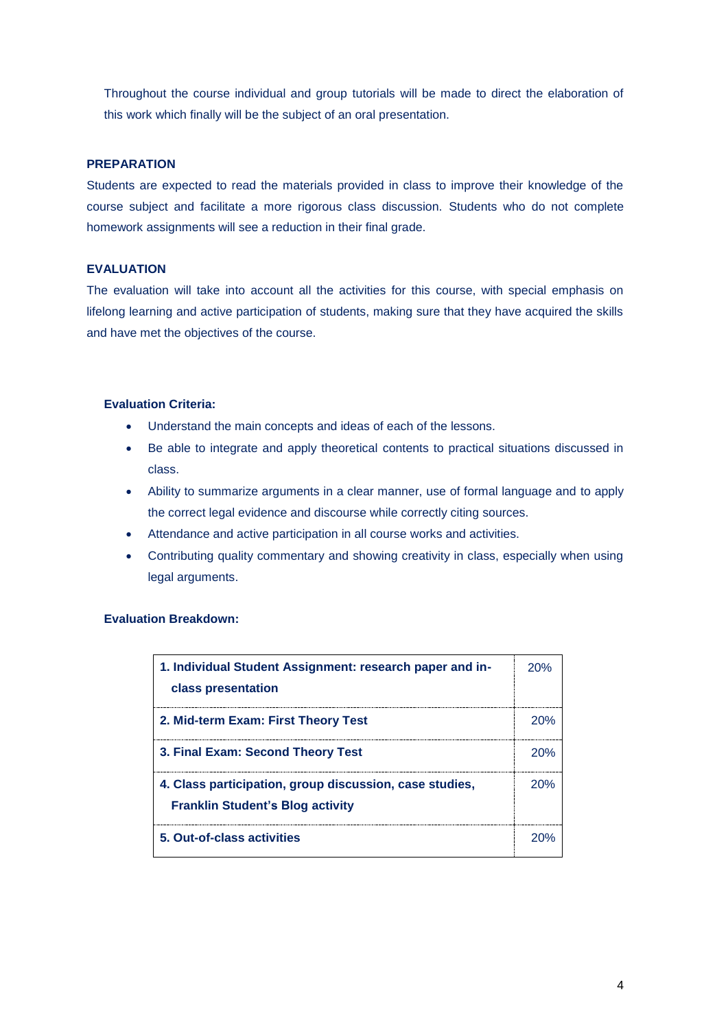Throughout the course individual and group tutorials will be made to direct the elaboration of this work which finally will be the subject of an oral presentation.

## **PREPARATION**

Students are expected to read the materials provided in class to improve their knowledge of the course subject and facilitate a more rigorous class discussion. Students who do not complete homework assignments will see a reduction in their final grade.

# **EVALUATION**

The evaluation will take into account all the activities for this course, with special emphasis on lifelong learning and active participation of students, making sure that they have acquired the skills and have met the objectives of the course.

### **Evaluation Criteria:**

- Understand the main concepts and ideas of each of the lessons.
- Be able to integrate and apply theoretical contents to practical situations discussed in class.
- Ability to summarize arguments in a clear manner, use of formal language and to apply the correct legal evidence and discourse while correctly citing sources.
- Attendance and active participation in all course works and activities.
- Contributing quality commentary and showing creativity in class, especially when using legal arguments.

## **Evaluation Breakdown:**

| 1. Individual Student Assignment: research paper and in-<br>class presentation                     | 20% |
|----------------------------------------------------------------------------------------------------|-----|
| 2. Mid-term Exam: First Theory Test                                                                | 20% |
| 3. Final Exam: Second Theory Test                                                                  | 20% |
| 4. Class participation, group discussion, case studies,<br><b>Franklin Student's Blog activity</b> |     |
| 5. Out-of-class activities                                                                         |     |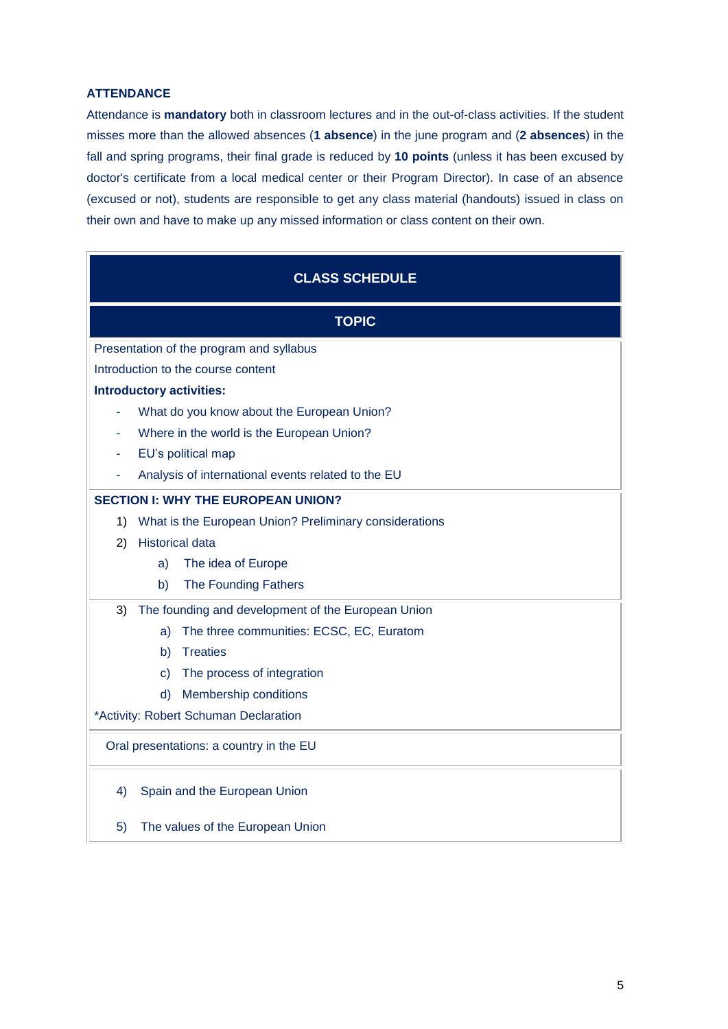# **ATTENDANCE**

Attendance is **mandatory** both in classroom lectures and in the out-of-class activities. If the student misses more than the allowed absences (**1 absence**) in the june program and (**2 absences**) in the fall and spring programs, their final grade is reduced by **10 points** (unless it has been excused by doctor's certificate from a local medical center or their Program Director). In case of an absence (excused or not), students are responsible to get any class material (handouts) issued in class on their own and have to make up any missed information or class content on their own.

| <b>CLASS SCHEDULE</b>                     |                                                        |  |
|-------------------------------------------|--------------------------------------------------------|--|
| <b>TOPIC</b>                              |                                                        |  |
| Presentation of the program and syllabus  |                                                        |  |
| Introduction to the course content        |                                                        |  |
| <b>Introductory activities:</b>           |                                                        |  |
|                                           | What do you know about the European Union?             |  |
| Where in the world is the European Union? |                                                        |  |
|                                           | EU's political map                                     |  |
|                                           | Analysis of international events related to the EU     |  |
| <b>SECTION I: WHY THE EUROPEAN UNION?</b> |                                                        |  |
| 1)                                        | What is the European Union? Preliminary considerations |  |
| 2)                                        | <b>Historical data</b>                                 |  |
|                                           | The idea of Europe<br>a)                               |  |
|                                           | The Founding Fathers<br>b)                             |  |
| 3)                                        | The founding and development of the European Union     |  |
|                                           | The three communities: ECSC, EC, Euratom<br>a)         |  |
|                                           | <b>Treaties</b><br>b)                                  |  |
|                                           | The process of integration<br>C)                       |  |
|                                           | Membership conditions<br>d)                            |  |
|                                           | *Activity: Robert Schuman Declaration                  |  |
| Oral presentations: a country in the EU   |                                                        |  |
| 4)                                        | Spain and the European Union                           |  |
| 5)                                        | The values of the European Union                       |  |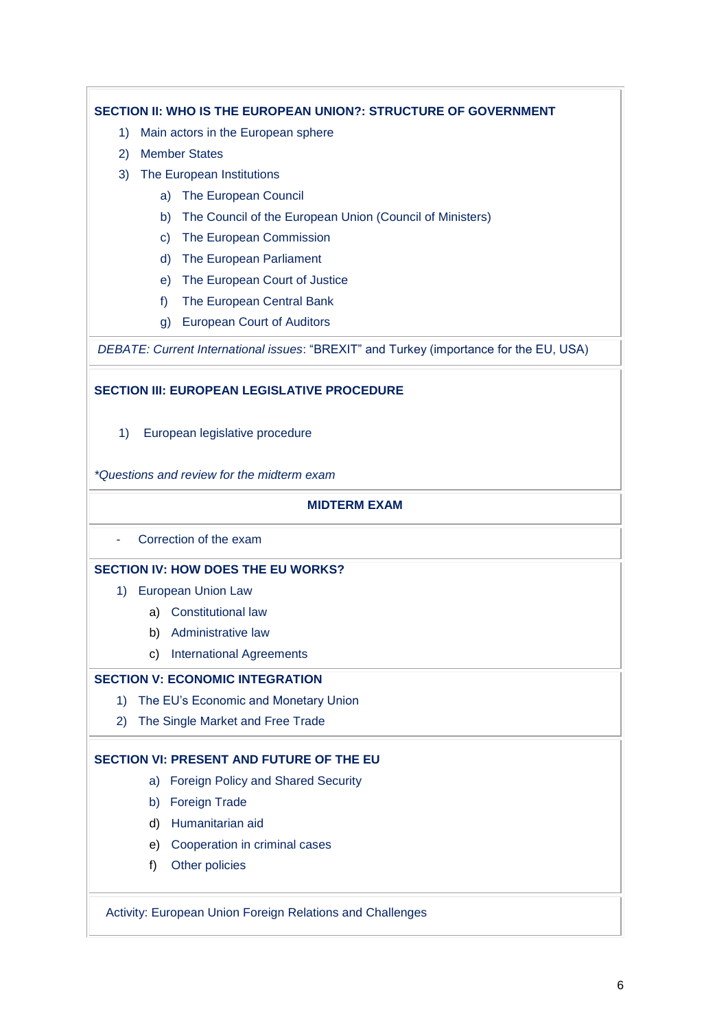# **SECTION II: WHO IS THE EUROPEAN UNION?: STRUCTURE OF GOVERNMENT**

- 1) Main actors in the European sphere
- 2) Member States
- 3) The European Institutions
	- a) The European Council
	- b) The Council of the European Union (Council of Ministers)
	- c) The European Commission
	- d) The European Parliament
	- e) The European Court of Justice
	- f) The European Central Bank
	- g) European Court of Auditors

*DEBATE: Current International issues*: "BREXIT" and Turkey (importance for the EU, USA)

# **SECTION III: EUROPEAN LEGISLATIVE PROCEDURE**

1) European legislative procedure

*\*Questions and review for the midterm exam*

# **MIDTERM EXAM**

- Correction of the exam

# **SECTION IV: HOW DOES THE EU WORKS?**

- 1) European Union Law
	- a) Constitutional law
	- b) Administrative law
	- c) International Agreements

# **SECTION V: ECONOMIC INTEGRATION**

- 1) The EU's Economic and Monetary Union
- 2) The Single Market and Free Trade

# **SECTION VI: PRESENT AND FUTURE OF THE EU**

- a) Foreign Policy and Shared Security
- b) Foreign Trade
- d) Humanitarian aid
- e) Cooperation in criminal cases
- f) Other policies

# Activity: European Union Foreign Relations and Challenges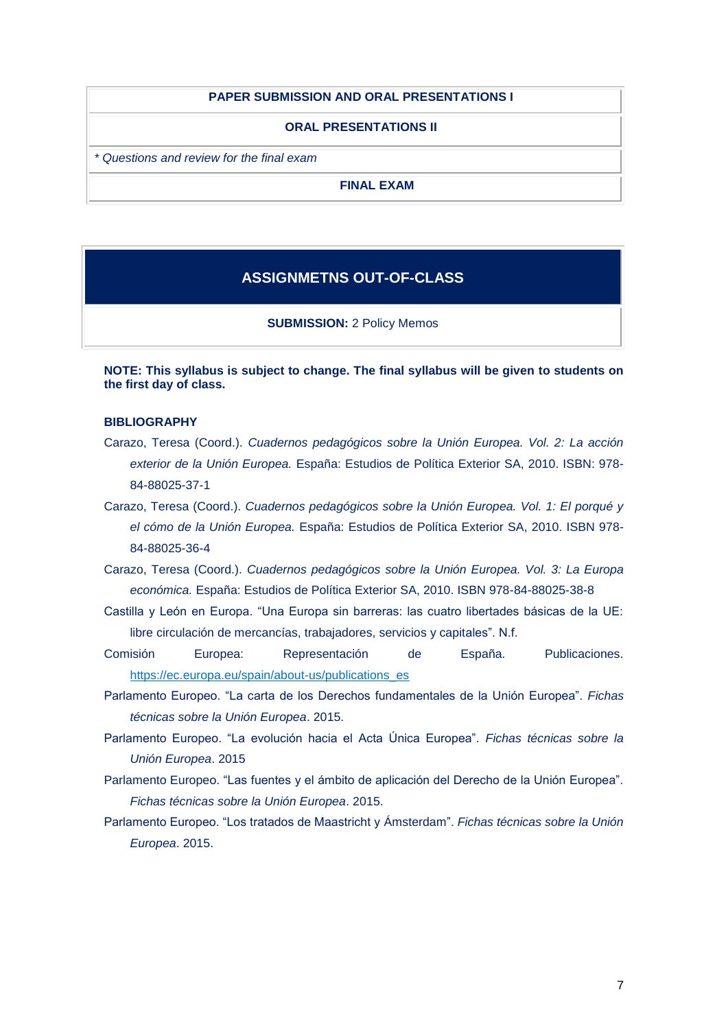#### **PAPER SUBMISSION AND ORAL PRESENTATIONS I**

#### **ORAL PRESENTATIONS II**

*\* Questions and review for the final exam*

**FINAL EXAM**

# **ASSIGNMETNS OUT-OF-CLASS**

**SUBMISSION:** 2 Policy Memos

**NOTE: This syllabus is subject to change. The final syllabus will be given to students on the first day of class.**

### **BIBLIOGRAPHY**

- Carazo, Teresa (Coord.). *Cuadernos pedagógicos sobre la Unión Europea. Vol. 2: La acción exterior de la Unión Europea.* España: Estudios de Política Exterior SA, 2010. ISBN: 978- 84-88025-37-1
- Carazo, Teresa (Coord.). *Cuadernos pedagógicos sobre la Unión Europea. Vol. 1: El porqué y el cómo de la Unión Europea.* España: Estudios de Política Exterior SA, 2010. ISBN 978- 84-88025-36-4
- Carazo, Teresa (Coord.). *Cuadernos pedagógicos sobre la Unión Europea. Vol. 3: La Europa económica.* España: Estudios de Política Exterior SA, 2010. ISBN 978-84-88025-38-8
- Castilla y León en Europa. "Una Europa sin barreras: las cuatro libertades básicas de la UE: libre circulación de mercancías, trabajadores, servicios y capitales". N.f.
- Comisión Europea: Representación de España. Publicaciones. [https://ec.europa.eu/spain/about-us/publications\\_es](https://ec.europa.eu/spain/about-us/publications_es)
- Parlamento Europeo. "La carta de los Derechos fundamentales de la Unión Europea". *Fichas técnicas sobre la Unión Europea*. 2015.
- Parlamento Europeo. "La evolución hacia el Acta Única Europea". *Fichas técnicas sobre la Unión Europea*. 2015
- Parlamento Europeo. "Las fuentes y el ámbito de aplicación del Derecho de la Unión Europea". *Fichas técnicas sobre la Unión Europea*. 2015.
- Parlamento Europeo. "Los tratados de Maastricht y Ámsterdam". *Fichas técnicas sobre la Unión Europea*. 2015.